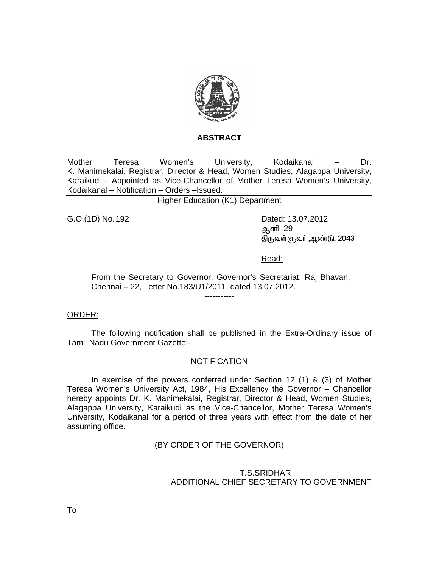

## **ABSTRACT**

Mother Teresa Women's University, Kodaikanal – Dr. K. Manimekalai, Registrar, Director & Head, Women Studies, Alagappa University, Karaikudi - Appointed as Vice-Chancellor of Mother Teresa Women's University, Kodaikanal – Notification – Orders –Issued.

Higher Education (K1) Department

G.O.(1D) No. 192 Dated: 13.07.2012 ஆனி 29 திருவள்ளுவர் ஆண்டு, 2043

Read:

From the Secretary to Governor, Governor's Secretariat, Raj Bhavan, Chennai – 22, Letter No.183/U1/2011, dated 13.07.2012. -----------

## ORDER:

 The following notification shall be published in the Extra-Ordinary issue of Tamil Nadu Government Gazette:-

## **NOTIFICATION**

 In exercise of the powers conferred under Section 12 (1) & (3) of Mother Teresa Women's University Act, 1984, His Excellency the Governor – Chancellor hereby appoints Dr. K. Manimekalai, Registrar, Director & Head, Women Studies, Alagappa University, Karaikudi as the Vice-Chancellor, Mother Teresa Women's University, Kodaikanal for a period of three years with effect from the date of her assuming office.

(BY ORDER OF THE GOVERNOR)

## T.S.SRIDHAR ADDITIONAL CHIEF SECRETARY TO GOVERNMENT